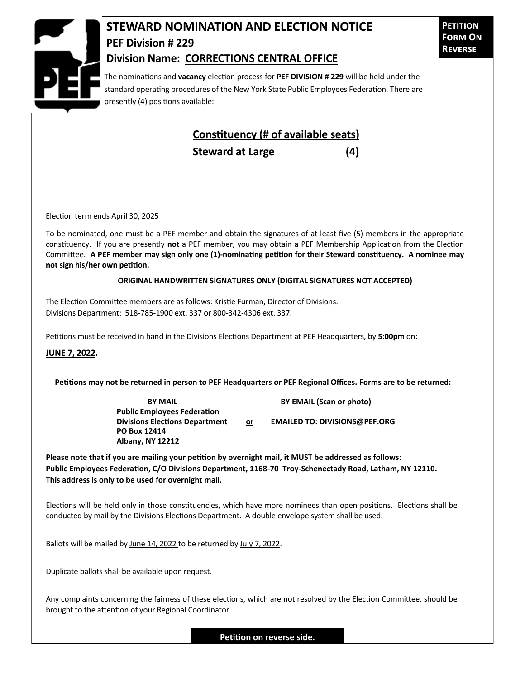

## **STEWARD NOMINATION AND ELECTION NOTICE PEF Division # 229 Division Name: CORRECTIONS CENTRAL OFFICE**

**Petition Form On Reverse**

The nominations and **vacancy** election process for **PEF DIVISION # 229** will be held under the standard operating procedures of the New York State Public Employees Federation. There are presently (4) positions available:

## **Constituency (# of available seats)**

**Steward at Large (4)**

Election term ends April 30, 2025

To be nominated, one must be a PEF member and obtain the signatures of at least five (5) members in the appropriate constituency. If you are presently **not** a PEF member, you may obtain a PEF Membership Application from the Election Committee. **A PEF member may sign only one (1)-nominating petition for their Steward constituency. A nominee may not sign his/her own petition.**

## **ORIGINAL HANDWRITTEN SIGNATURES ONLY (DIGITAL SIGNATURES NOT ACCEPTED)**

The Election Committee members are as follows: Kristie Furman, Director of Divisions. Divisions Department: 518-785-1900 ext. 337 or 800-342-4306 ext. 337.

Petitions must be received in hand in the Divisions Elections Department at PEF Headquarters, by **5:00pm** on:

**JUNE 7, 2022.**

**Petitions may not be returned in person to PEF Headquarters or PEF Regional Offices. Forms are to be returned:**

**Public Employees Federation PO Box 12414 Albany, NY 12212**

**BY MAIL BY EMAIL (Scan or photo)** 

**Divisions Elections Department or EMAILED TO: DIVISIONS@PEF.ORG**

**Please note that if you are mailing your petition by overnight mail, it MUST be addressed as follows: Public Employees Federation, C/O Divisions Department, 1168-70 Troy-Schenectady Road, Latham, NY 12110. This address is only to be used for overnight mail.**

Elections will be held only in those constituencies, which have more nominees than open positions. Elections shall be conducted by mail by the Divisions Elections Department. A double envelope system shall be used.

Ballots will be mailed by June 14, 2022 to be returned by July 7, 2022.

Duplicate ballots shall be available upon request.

Any complaints concerning the fairness of these elections, which are not resolved by the Election Committee, should be brought to the attention of your Regional Coordinator.

**Petition on reverse side.**